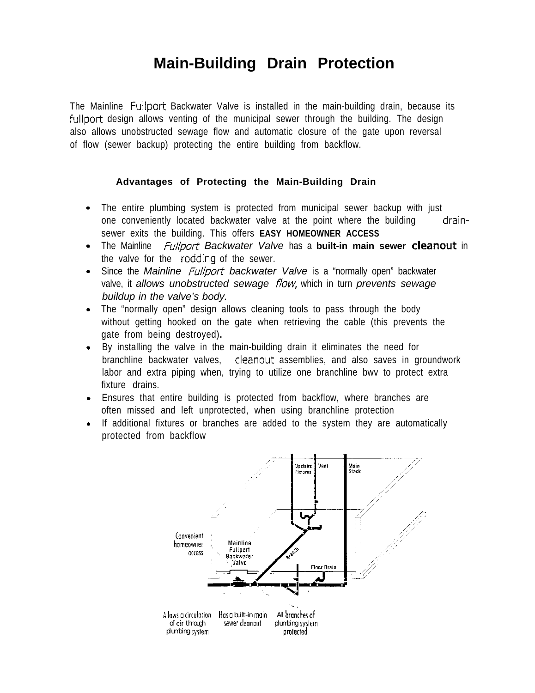## **Main-Building Drain Protection**

The Mainline Fullport Backwater Valve is installed in the main-building drain, because its fullport design allows venting of the municipal sewer through the building. The design also allows unobstructed sewage flow and automatic closure of the gate upon reversal of flow (sewer backup) protecting the entire building from backflow.

#### **Advantages of Protecting the Main-Building Drain**

- The entire plumbing system is protected from municipal sewer backup with just one conveniently located backwater valve at the point where the building drainsewer exits the building. This offers **EASY HOMEOWNER ACCESS**
- The Mainline *Fullport Backwater Valve* has a **built-in main sewer cleanout** in the valve for the rodding of the sewer.
- Since the *Mainline Fullport backwater Valve* is a "normally open" backwater valve, it *allows unobstructed sewage flow*, which in turn *prevents sewage buildup in the valve's body.*
- The "normally open" design allows cleaning tools to pass through the body without getting hooked on the gate when retrieving the cable (this prevents the gate from being destroyed)**.**
- By installing the valve in the main-building drain it eliminates the need for branchline backwater valves, cleanout assemblies, and also saves in groundwork labor and extra piping when, trying to utilize one branchline bwv to protect extra fixture drains.
- Ensures that entire building is protected from backflow, where branches are often missed and left unprotected, when using branchline protection
- If additional fixtures or branches are added to the system they are automatically protected from backflow

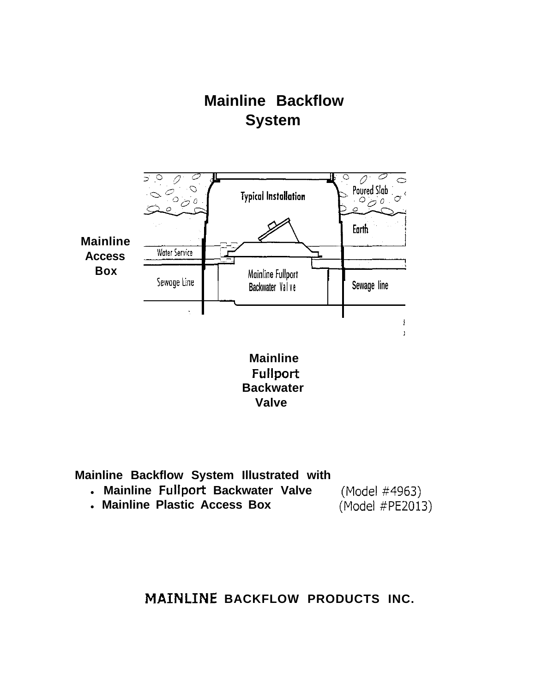# **Mainline Backflow System**



**Valve** 

**Mainline Backflow System Illustrated with** 

- **Mainline Fullport Backwater Valve**
- (Model #4963) (Model #PE2013)
- **Mainline Plastic Access Box**

**BACKFLOW PRODUCTS INC.**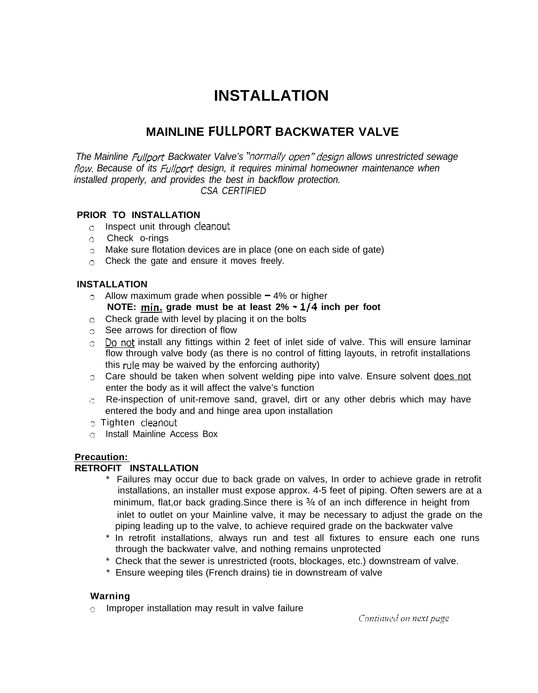## **INSTALLATION**

### **MAINLINE FULLPORT BACKWATER VALVE**

*The Mainline Fullport Backwater Valve's "normally open" design allows unrestricted sewage* flow. Because of its *Fullport* design, it requires minimal homeowner maintenance when *installed properly, and provides the best in backflow protection. CSA CERTIFIED* 

#### **PRIOR TO INSTALLATION**

- $\circ$  Inspect unit through cleanout
- Check o-rings
- Make sure flotation devices are in place (one on each side of gate)
- Check the gate and ensure it moves freely.

#### **INSTALLATION**

- $\circ$  Allow maximum grade when possible  $-4\%$  or higher **NOTE:** min. grade must be at least  $2\% \cdot 1/4$  inch per foot
- o Check grade with level by placing it on the bolts
- o See arrows for direction of flow
- $\circ$  Do not install any fittings within 2 feet of inlet side of valve. This will ensure laminar flow through valve body (as there is no control of fitting layouts, in retrofit installations this rule may be waived by the enforcing authority)
- Care should be taken when solvent welding pipe into valve. Ensure solvent does not enter the body as it will affect the valve's function
- entered the body and and hinge area upon installation  $\circ$  Re-inspection of unit-remove sand, gravel, dirt or any other debris which may have
- o Tighten cleanout
- Install Mainline Access Box

#### **Precaution:**

#### **RETROFIT INSTALLATION**

- \* Failures may occur due to back grade on valves, In order to achieve grade in retrofit installations, an installer must expose approx. 4-5 feet of piping. Often sewers are at a minimum, flat,or back grading. Since there is  $\frac{3}{4}$  of an inch difference in height from inlet to outlet on your Mainline valve, it may be necessary to adjust the grade on the piping leading up to the valve, to achieve required grade on the backwater valve
- \* In retrofit installations, always run and test all fixtures to ensure each one runs through the backwater valve, and nothing remains unprotected
- \* Check that the sewer is unrestricted (roots, blockages, etc.) downstream of valve.
- \* Ensure weeping tiles (French drains) tie in downstream of valve

#### **Warning**

 $\circ$  Improper installation may result in valve failure

Continued on next page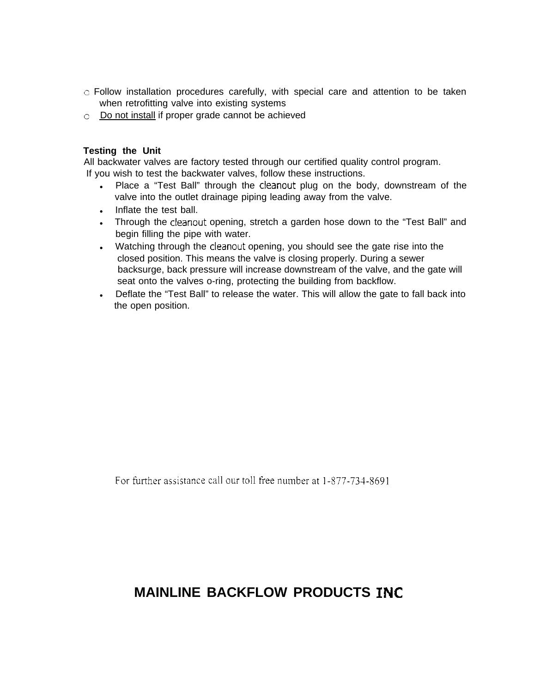- $\circ$  Follow installation procedures carefully, with special care and attention to be taken when retrofitting valve into existing systems
- Do not install if proper grade cannot be achieved

#### **Testing the Unit**

All backwater valves are factory tested through our certified quality control program. If you wish to test the backwater valves, follow these instructions.

- Place a "Test Ball" through the cleanout plug on the body, downstream of the valve into the outlet drainage piping leading away from the valve.
- Inflate the test ball.
- Through the cleanout opening, stretch a garden hose down to the "Test Ball" and begin filling the pipe with water.
- Watching through the cleanout opening, you should see the gate rise into the closed position. This means the valve is closing properly. During a sewer backsurge, back pressure will increase downstream of the valve, and the gate will seat onto the valves o-ring, protecting the building from backflow.
- Deflate the "Test Ball" to release the water. This will allow the gate to fall back into the open position.

For further assistance call our toll free number at 1-877-734-8691

### **MAINLINE BACKFLOW PRODUCTS**